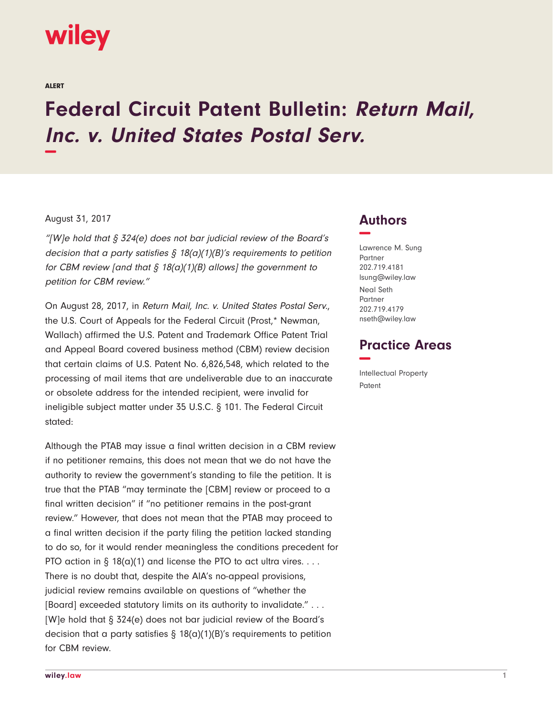# **wiley**

ALERT

# **Federal Circuit Patent Bulletin: Return Mail, Inc. v. United States Postal Serv. −**

#### August 31, 2017

"[W]e hold that  $\S 324(e)$  does not bar judicial review of the Board's decision that a party satisfies  $\frac{1}{2}$  18(a)(1)(B)'s requirements to petition for CBM review [and that  $\frac{5}{9}$  18(a)(1)(B) allows] the government to petition for CBM review."

On August 28, 2017, in Return Mail, Inc. v. United States Postal Serv., the U.S. Court of Appeals for the Federal Circuit (Prost,\* Newman, Wallach) affirmed the U.S. Patent and Trademark Office Patent Trial and Appeal Board covered business method (CBM) review decision that certain claims of U.S. Patent No. 6,826,548, which related to the processing of mail items that are undeliverable due to an inaccurate or obsolete address for the intended recipient, were invalid for ineligible subject matter under 35 U.S.C. § 101. The Federal Circuit stated:

Although the PTAB may issue a final written decision in a CBM review if no petitioner remains, this does not mean that we do not have the authority to review the government's standing to file the petition. It is true that the PTAB "may terminate the [CBM] review or proceed to a final written decision" if "no petitioner remains in the post-grant review." However, that does not mean that the PTAB may proceed to a final written decision if the party filing the petition lacked standing to do so, for it would render meaningless the conditions precedent for PTO action in  $\S 18(a)(1)$  and license the PTO to act ultra vires. ... There is no doubt that, despite the AIA's no-appeal provisions, judicial review remains available on questions of "whether the [Board] exceeded statutory limits on its authority to invalidate." . . . [W]e hold that § 324(e) does not bar judicial review of the Board's decision that a party satisfies  $\S$  18(a)(1)(B)'s requirements to petition for CBM review.

### **Authors −**

Lawrence M. Sung Partner 202.719.4181 lsung@wiley.law Neal Seth Partner 202.719.4179 nseth@wiley.law

## **Practice Areas −**

Intellectual Property Patent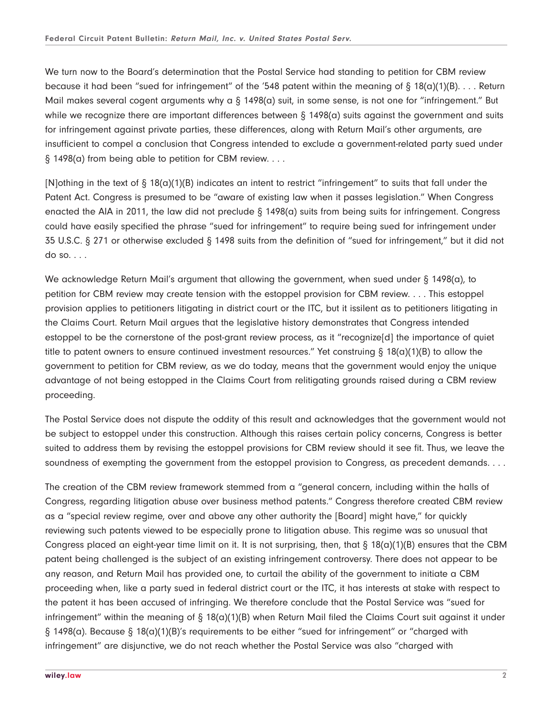We turn now to the Board's determination that the Postal Service had standing to petition for CBM review because it had been "sued for infringement" of the '548 patent within the meaning of  $\S 18(a)(1)(B) \ldots$ . Return Mail makes several cogent arguments why a  $\S$  1498(a) suit, in some sense, is not one for "infringement." But while we recognize there are important differences between  $\S$  1498(a) suits against the government and suits for infringement against private parties, these differences, along with Return Mail's other arguments, are insufficient to compel a conclusion that Congress intended to exclude a government-related party sued under § 1498(a) from being able to petition for CBM review. . . .

[N]othing in the text of § 18(a)(1)(B) indicates an intent to restrict "infringement" to suits that fall under the Patent Act. Congress is presumed to be "aware of existing law when it passes legislation." When Congress enacted the AIA in 2011, the law did not preclude § 1498(a) suits from being suits for infringement. Congress could have easily specified the phrase "sued for infringement" to require being sued for infringement under 35 U.S.C. § 271 or otherwise excluded § 1498 suits from the definition of "sued for infringement," but it did not do so. . . .

We acknowledge Return Mail's argument that allowing the government, when sued under § 1498(a), to petition for CBM review may create tension with the estoppel provision for CBM review. . . . This estoppel provision applies to petitioners litigating in district court or the ITC, but it issilent as to petitioners litigating in the Claims Court. Return Mail argues that the legislative history demonstrates that Congress intended estoppel to be the cornerstone of the post-grant review process, as it "recognize[d] the importance of quiet title to patent owners to ensure continued investment resources." Yet construing § 18(a)(1)(B) to allow the government to petition for CBM review, as we do today, means that the government would enjoy the unique advantage of not being estopped in the Claims Court from relitigating grounds raised during a CBM review proceeding.

The Postal Service does not dispute the oddity of this result and acknowledges that the government would not be subject to estoppel under this construction. Although this raises certain policy concerns, Congress is better suited to address them by revising the estoppel provisions for CBM review should it see fit. Thus, we leave the soundness of exempting the government from the estoppel provision to Congress, as precedent demands. . . .

The creation of the CBM review framework stemmed from a "general concern, including within the halls of Congress, regarding litigation abuse over business method patents." Congress therefore created CBM review as a "special review regime, over and above any other authority the [Board] might have," for quickly reviewing such patents viewed to be especially prone to litigation abuse. This regime was so unusual that Congress placed an eight-year time limit on it. It is not surprising, then, that  $\S$  18(a)(1)(B) ensures that the CBM patent being challenged is the subject of an existing infringement controversy. There does not appear to be any reason, and Return Mail has provided one, to curtail the ability of the government to initiate a CBM proceeding when, like a party sued in federal district court or the ITC, it has interests at stake with respect to the patent it has been accused of infringing. We therefore conclude that the Postal Service was "sued for infringement" within the meaning of § 18(a)(1)(B) when Return Mail filed the Claims Court suit against it under § 1498(a). Because § 18(a)(1)(B)'s requirements to be either "sued for infringement" or "charged with infringement" are disjunctive, we do not reach whether the Postal Service was also "charged with